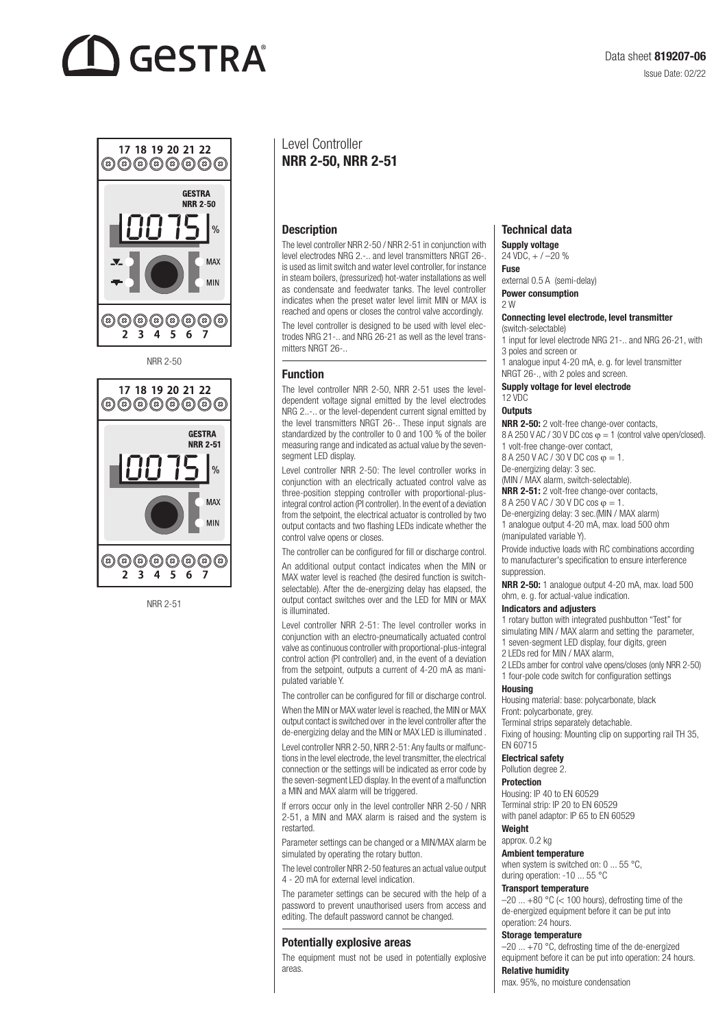# **GESTRA**



NRR 2-50



NRR 2-51

## Level Controller NRR 2-50, NRR 2-51

#### **Description**

The level controller NRR 2-50 / NRR 2-51 in conjunction with level electrodes NRG 2.-.. and level transmitters NRGT 26-. is used as limit switch and water level controller, for instance in steam boilers, (pressurized) hot-water installations as well as condensate and feedwater tanks. The level controller indicates when the preset water level limit MIN or MAX is reached and opens or closes the control valve accordingly.

The level controller is designed to be used with level electrodes NRG 21-.. and NRG 26-21 as well as the level transmitters NRGT 26-

#### Function

The level controller NRR 2-50, NRR 2-51 uses the leveldependent voltage signal emitted by the level electrodes NRG 2..-.. or the level-dependent current signal emitted by the level transmitters NRGT 26-.. These input signals are standardized by the controller to 0 and 100 % of the boiler measuring range and indicated as actual value by the sevensegment LED display.

Level controller NRR 2-50: The level controller works in conjunction with an electrically actuated control valve as three-position stepping controller with proportional-plusintegral control action (PI controller). In the event of a deviation from the setpoint, the electrical actuator is controlled by two output contacts and two flashing LEDs indicate whether the control valve opens or closes.

The controller can be configured for fill or discharge control.

An additional output contact indicates when the MIN or MAX water level is reached (the desired function is switchselectable). After the de-energizing delay has elapsed, the output contact switches over and the LED for MIN or MAX is illuminated.

Level controller NRR 2-51: The level controller works in conjunction with an electro-pneumatically actuated control valve as continuous controller with proportional-plus-integral control action (PI controller) and, in the event of a deviation from the setpoint, outputs a current of 4-20 mA as manipulated variable Y.

The controller can be configured for fill or discharge control.

When the MIN or MAX water level is reached, the MIN or MAX output contact is switched over in the level controller after the de-energizing delay and the MIN or MAX LED is illuminated .

Level controller NRR 2-50, NRR 2-51: Any faults or malfunctions in the level electrode, the level transmitter, the electrical connection or the settings will be indicated as error code by the seven-segment LED display. In the event of a malfunction a MIN and MAX alarm will be triggered.

If errors occur only in the level controller NRR 2-50 / NRR 2-51, a MIN and MAX alarm is raised and the system is restarted.

Parameter settings can be changed or a MIN/MAX alarm be simulated by operating the rotary button.

The level controller NRR 2-50 features an actual value output 4 - 20 mA for external level indication.

The parameter settings can be secured with the help of a password to prevent unauthorised users from access and editing. The default password cannot be changed.

#### Potentially explosive areas

The equipment must not be used in potentially explosive areas.

#### Technical data

Supply voltage 24 VDC, + / –20 %

Fuse

external 0.5 A (semi-delay) Power consumption

2 W

#### Connecting level electrode, level transmitter

(switch-selectable)

1 input for level electrode NRG 21-.. and NRG 26-21, with 3 poles and screen or

1 analogue input 4-20 mA, e. g. for level transmitter NRGT 26-., with 2 poles and screen.

#### Supply voltage for level electrode

## $12$  VDC

#### **Outputs**

NRR 2-50: 2 volt-free change-over contacts, 8 A 250 V AC / 30 V DC cos  $\varphi = 1$  (control valve open/closed). 1 volt-free change-over contact,

8 A 250 V AC / 30 V DC cos  $\varphi = 1$ .

### De-energizing delay: 3 sec.

(MIN / MAX alarm, switch-selectable). NRR 2-51: 2 volt-free change-over contacts,

8 A 250 V AC / 30 V DC cos φ = 1.

De-energizing delay: 3 sec.(MIN / MAX alarm) 1 analogue output 4-20 mA, max. load 500 ohm (manipulated variable Y).

Provide inductive loads with RC combinations according to manufacturer's specification to ensure interference suppression.

NRR 2-50: 1 analogue output 4-20 mA, max. load 500 ohm, e. g. for actual-value indication.

#### Indicators and adjusters

1 rotary button with integrated pushbutton "Test" for simulating MIN / MAX alarm and setting the parameter,

1 seven-segment LED display, four digits, green

2 LEDs red for MIN / MAX alarm,

2 LEDs amber for control valve opens/closes (only NRR 2-50) 1 four-pole code switch for configuration settings

#### Housing

Housing material: base: polycarbonate, black Front: polycarbonate, grey.

Terminal strips separately detachable.

Fixing of housing: Mounting clip on supporting rail TH 35, EN 60715

#### Electrical safety

Pollution degree 2.

### Protection

Housing: IP 40 to EN 60529 Terminal strip: IP 20 to EN 60529 with panel adaptor: IP 65 to EN 60529

#### Weight approx. 0.2 kg

Ambient temperature

when system is switched on: 0 ... 55 °C. during operation: -10 ... 55 °C

#### Transport temperature

 $-20$  ...  $+80$  °C (< 100 hours), defrosting time of the de-energized equipment before it can be put into operation: 24 hours.

#### Storage temperature

–20 ... +70 °C, defrosting time of the de-energized equipment before it can be put into operation: 24 hours.

## Relative humidity

max. 95%, no moisture condensation